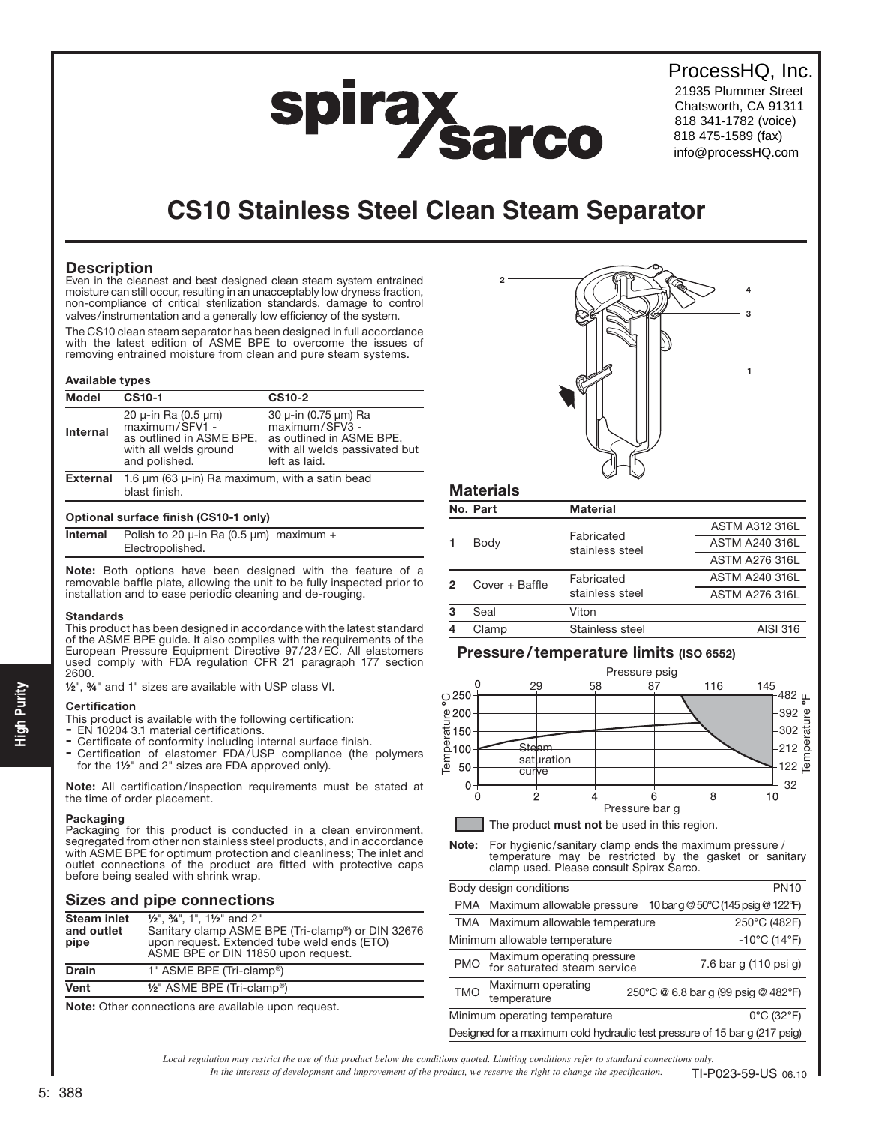## ProcessHQ, Inc.

21935 Plummer Street Chatsworth, CA 91311 818 341-1782 (voice) 818 475-1589 (fax) info@processHQ.com

# **CS10 Stainless Steel Clean Steam Separator**

spirax sarco

### **Description**

Even in the cleanest and best designed clean steam system entrained moisture can still occur, resulting in an unacceptably low dryness fraction, non-compliance of critical sterilization standards, damage to control valves/instrumentation and a generally low efficiency of the system.

The CS10 clean steam separator has been designed in full accordance with the latest edition of ASME BPE to overcome the issues of removing entrained moisture from clean and pure steam systems.

#### Available types

| <b>Model</b>    | <b>CS10-1</b>                                                                                                         | <b>CS10-2</b>                                                                                                        |  |  |  |
|-----------------|-----------------------------------------------------------------------------------------------------------------------|----------------------------------------------------------------------------------------------------------------------|--|--|--|
| <b>Internal</b> | 20 $\mu$ -in Ra (0.5 $\mu$ m)<br>maximum/SFV1 -<br>as outlined in ASME BPE,<br>with all welds ground<br>and polished. | 30 µ-in (0.75 µm) Ra<br>maximum/SFV3 -<br>as outlined in ASME BPE,<br>with all welds passivated but<br>left as laid. |  |  |  |
| <b>External</b> | 1.6 $\mu$ m (63 $\mu$ -in) Ra maximum, with a satin bead                                                              |                                                                                                                      |  |  |  |
|                 | blast finish.                                                                                                         |                                                                                                                      |  |  |  |

#### Optional surface finish (CS10-1 only)

| <b>Internal</b> | Polish to 20 $\mu$ -in Ra (0.5 $\mu$ m) maximum + |  |
|-----------------|---------------------------------------------------|--|
|                 | Electropolished.                                  |  |

Note: Both options have been designed with the feature of a removable baffle plate, allowing the unit to be fully inspected prior to installation and to ease periodic cleaning and de-rouging.

#### **Standards**

This product has been designed in accordance with the latest standard of the ASME BPE guide. It also complies with the requirements of the European Pressure Equipment Directive 97/23/EC. All elastomers used comply with FDA regulation CFR 21 paragraph 177 section 2600.

½", ¾" and 1" sizes are available with USP class VI.

#### **Certification**

This product is available with the following certification:

- EN 10204 3.1 material certifications.
- Certificate of conformity including internal surface finish.
- Certification of elastomer FDA/USP compliance (the polymers for the 1½" and 2" sizes are FDA approved only).

Note: All certification/inspection requirements must be stated at the time of order placement.

#### Packaging

Packaging for this product is conducted in a clean environment, segregated from other non stainless steel products, and in accordance with ASME BPE for optimum protection and cleanliness; The inlet and outlet connections of the product are fitted with protective caps before being sealed with shrink wrap.

#### Sizes and pipe connections

| <b>Steam inlet</b><br>and outlet<br>pipe | $\frac{1}{2}$ ", $\frac{3}{4}$ ", 1", $\frac{1}{2}$ " and 2"<br>Sanitary clamp ASME BPE (Tri-clamp <sup>®</sup> ) or DIN 32676<br>upon request. Extended tube weld ends (ETO)<br>ASME BPE or DIN 11850 upon request. |
|------------------------------------------|----------------------------------------------------------------------------------------------------------------------------------------------------------------------------------------------------------------------|
| <b>Drain</b>                             | 1" ASME BPE (Tri-clamp®)                                                                                                                                                                                             |
| Vent                                     | $1/2$ " ASME BPE (Tri-clamp®)                                                                                                                                                                                        |
|                                          |                                                                                                                                                                                                                      |

Note: Other connections are available upon request.



| <b>Materials</b> |                |                 |                       |  |  |
|------------------|----------------|-----------------|-----------------------|--|--|
|                  | No. Part       | Material        |                       |  |  |
|                  |                | Fabricated      | <b>ASTM A312 316L</b> |  |  |
|                  | Body           | stainless steel | <b>ASTM A240 316L</b> |  |  |
|                  |                |                 | <b>ASTM A276 316L</b> |  |  |
| 2                | Cover + Baffle | Fabricated      | <b>ASTM A240 316L</b> |  |  |
|                  |                | stainless steel | <b>ASTM A276 316L</b> |  |  |
| 3                | Seal           | Viton           |                       |  |  |
|                  | Clamp          | Stainless steel | AISI 316              |  |  |

#### Pressure/temperature limits (ISO 6552)



**Note:** For hygienic/sanitary clamp ends the maximum pressure / temperature may be restricted by the gasket or sanitary clamp used. Please consult Spirax Sarco.

|                                                                            | Body design conditions                                               | <b>PN10</b>                         |  |
|----------------------------------------------------------------------------|----------------------------------------------------------------------|-------------------------------------|--|
|                                                                            | 10 bar g @ 50°C (145 psig @ 122°F)<br>PMA Maximum allowable pressure |                                     |  |
|                                                                            | 250°C (482F)<br>TMA Maximum allowable temperature                    |                                     |  |
| $-10^{\circ}$ C (14 $^{\circ}$ F)<br>Minimum allowable temperature         |                                                                      |                                     |  |
| <b>PMO</b>                                                                 | Maximum operating pressure<br>for saturated steam service            | 7.6 bar g (110 psi g)               |  |
| <b>TMO</b>                                                                 | Maximum operating<br>temperature                                     | 250°C @ 6.8 bar q (99 psig @ 482°F) |  |
| 0°C (32°F)<br>Minimum operating temperature                                |                                                                      |                                     |  |
| Designed for a maximum cold hydraulic test pressure of 15 bar q (217 psig) |                                                                      |                                     |  |

*Local regulation may restrict the use of this product below the conditions quoted. Limiting conditions refer to standard connections only.*

*In the interests of development and improvement of the product, we reserve the right to change the specification.* TI-P023-59-US 06.10